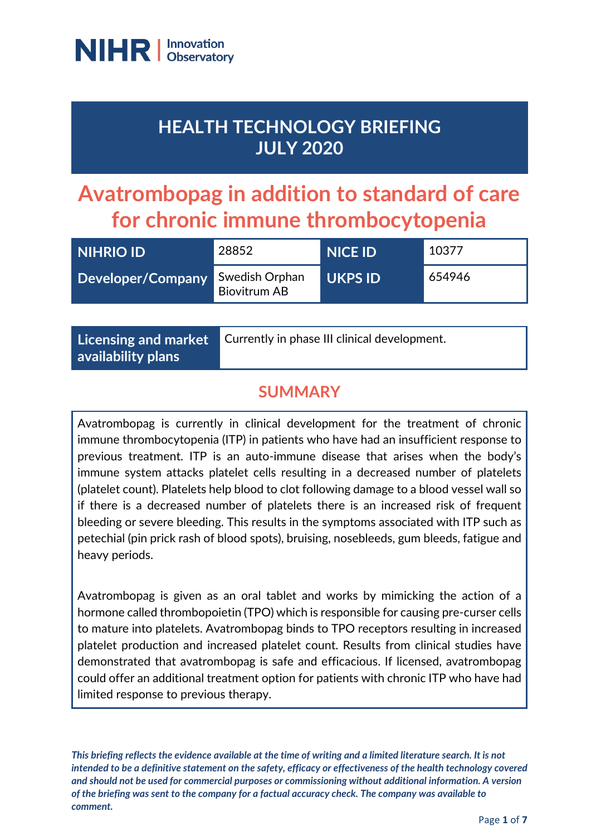

## **HEALTH TECHNOLOGY BRIEFING JULY 2020**

# **Avatrombopag in addition to standard of care for chronic immune thrombocytopenia**

| <b>NIHRIO ID</b>  | 28852                                 | <b>NICE ID</b> | 10377  |
|-------------------|---------------------------------------|----------------|--------|
| Developer/Company | Swedish Orphan<br><b>Biovitrum AB</b> | <b>UKPS ID</b> | 654946 |

**Licensing and market availability plans**

Currently in phase III clinical development.

### **SUMMARY**

Avatrombopag is currently in clinical development for the treatment of chronic immune thrombocytopenia (ITP) in patients who have had an insufficient response to previous treatment. ITP is an auto-immune disease that arises when the body's immune system attacks platelet cells resulting in a decreased number of platelets (platelet count). Platelets help blood to clot following damage to a blood vessel wall so if there is a decreased number of platelets there is an increased risk of frequent bleeding or severe bleeding. This results in the symptoms associated with ITP such as petechial (pin prick rash of blood spots), bruising, nosebleeds, gum bleeds, fatigue and heavy periods.

Avatrombopag is given as an oral tablet and works by mimicking the action of a hormone called thrombopoietin (TPO) which is responsible for causing pre-curser cells to mature into platelets. Avatrombopag binds to TPO receptors resulting in increased platelet production and increased platelet count. Results from clinical studies have demonstrated that avatrombopag is safe and efficacious. If licensed, avatrombopag could offer an additional treatment option for patients with chronic ITP who have had limited response to previous therapy.

*This briefing reflects the evidence available at the time of writing and a limited literature search. It is not intended to be a definitive statement on the safety, efficacy or effectiveness of the health technology covered and should not be used for commercial purposes or commissioning without additional information. A version of the briefing was sent to the company for a factual accuracy check. The company was available to comment.*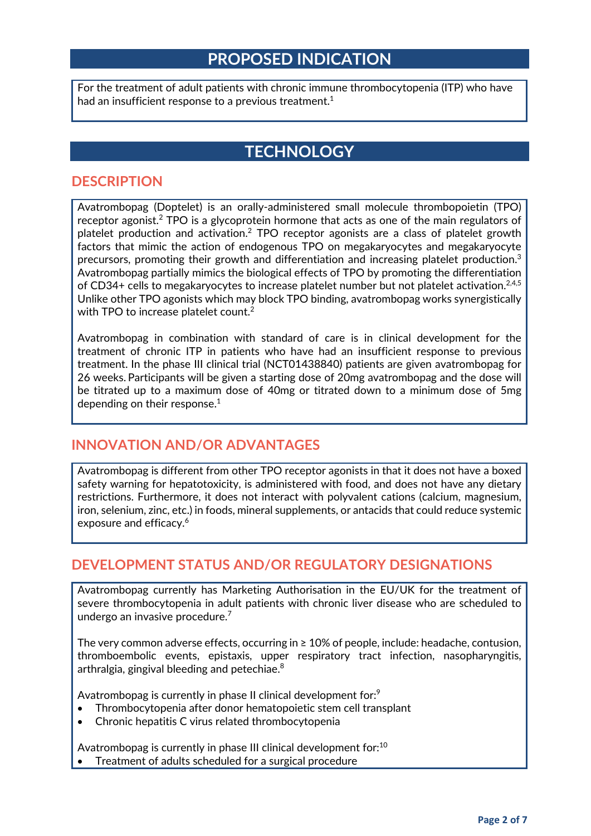### **PROPOSED INDICATION**

For the treatment of adult patients with chronic immune thrombocytopenia (ITP) who have had an insufficient response to a previous treatment.<sup>1</sup>

### **TECHNOLOGY**

#### **DESCRIPTION**

Avatrombopag (Doptelet) is an orally-administered small molecule thrombopoietin (TPO) receptor agonist.<sup>2</sup> TPO is a glycoprotein hormone that acts as one of the main regulators of platelet production and activation.2 TPO receptor agonists are a class of platelet growth factors that mimic the action of endogenous TPO on megakaryocytes and megakaryocyte precursors, promoting their growth and differentiation and increasing platelet production. $3$ Avatrombopag partially mimics the biological effects of TPO by promoting the differentiation of CD34+ cells to megakaryocytes to increase platelet number but not platelet activation.<sup>2,4,5</sup> Unlike other TPO agonists which may block TPO binding, avatrombopag works synergistically with TPO to increase platelet count.<sup>2</sup>

Avatrombopag in combination with standard of care is in clinical development for the treatment of chronic ITP in patients who have had an insufficient response to previous treatment. In the phase III clinical trial (NCT01438840) patients are given avatrombopag for 26 weeks. Participants will be given a starting dose of 20mg avatrombopag and the dose will be titrated up to a maximum dose of 40mg or titrated down to a minimum dose of 5mg depending on their response. $1$ 

#### **INNOVATION AND/OR ADVANTAGES**

Avatrombopag is different from other TPO receptor agonists in that it does not have a boxed safety warning for hepatotoxicity, is administered with food, and does not have any dietary restrictions. Furthermore, it does not interact with polyvalent cations (calcium, magnesium, iron, selenium, zinc, etc.) in foods, mineral supplements, or antacids that could reduce systemic exposure and efficacy.<sup>6</sup>

#### **DEVELOPMENT STATUS AND/OR REGULATORY DESIGNATIONS**

Avatrombopag currently has Marketing Authorisation in the EU/UK for the treatment of severe thrombocytopenia in adult patients with chronic liver disease who are scheduled to undergo an invasive procedure.7

The very common adverse effects, occurring in ≥ 10% of people, include: headache, contusion, thromboembolic events, epistaxis, upper respiratory tract infection, nasopharyngitis, arthralgia, gingival bleeding and petechiae.8

Avatrombopag is currently in phase II clinical development for:<sup>9</sup>

- Thrombocytopenia after donor hematopoietic stem cell transplant
- Chronic hepatitis C virus related thrombocytopenia

Avatrombopag is currently in phase III clinical development for:<sup>10</sup>

Treatment of adults scheduled for a surgical procedure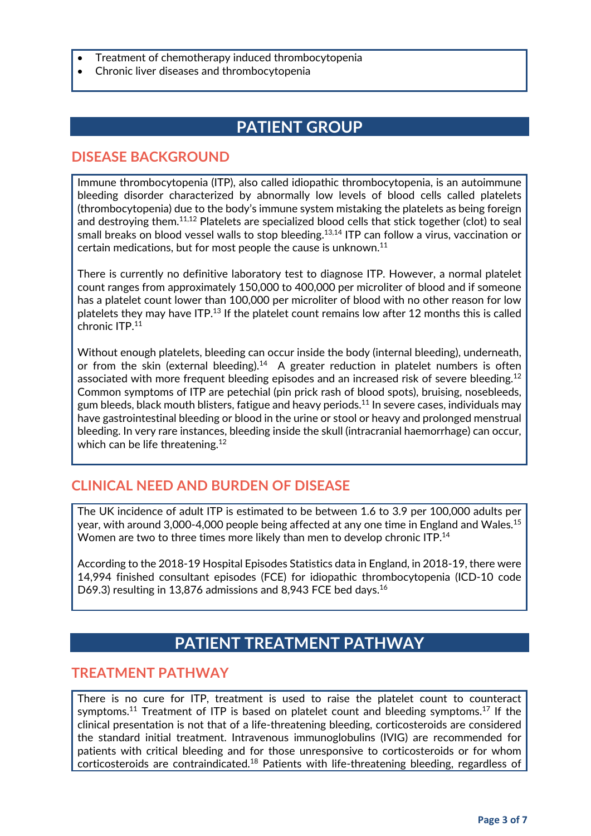- Treatment of chemotherapy induced thrombocytopenia
- Chronic liver diseases and thrombocytopenia

### **PATIENT GROUP**

#### **DISEASE BACKGROUND**

Immune thrombocytopenia (ITP), also called idiopathic thrombocytopenia, is an autoimmune bleeding disorder characterized by abnormally low levels of blood cells called platelets (thrombocytopenia) due to the body's immune system mistaking the platelets as being foreign and destroying them.<sup>11,12</sup> Platelets are specialized blood cells that stick together (clot) to seal small breaks on blood vessel walls to stop bleeding.<sup>13,14</sup> ITP can follow a virus, vaccination or certain medications, but for most people the cause is unknown.11

There is currently no definitive laboratory test to diagnose ITP. However, a normal platelet count ranges from approximately 150,000 to 400,000 per microliter of blood and if someone has a platelet count lower than 100,000 per microliter of blood with no other reason for low platelets they may have ITP.<sup>13</sup> If the platelet count remains low after 12 months this is called chronic ITP.11

Without enough platelets, bleeding can occur inside the body (internal bleeding), underneath, or from the skin (external bleeding).<sup>14</sup> A greater reduction in platelet numbers is often associated with more frequent bleeding episodes and an increased risk of severe bleeding.<sup>12</sup> Common symptoms of ITP are petechial (pin prick rash of blood spots), bruising, nosebleeds, gum bleeds, black mouth blisters, fatigue and heavy periods.<sup>11</sup> In severe cases, individuals may have gastrointestinal bleeding or blood in the urine or stool or heavy and prolonged menstrual bleeding. In very rare instances, bleeding inside the skull (intracranial haemorrhage) can occur, which can be life threatening.<sup>12</sup>

### **CLINICAL NEED AND BURDEN OF DISEASE**

The UK incidence of adult ITP is estimated to be between 1.6 to 3.9 per 100,000 adults per year, with around 3,000-4,000 people being affected at any one time in England and Wales.<sup>15</sup> Women are two to three times more likely than men to develop chronic ITP.<sup>14</sup>

According to the 2018-19 Hospital Episodes Statistics data in England, in 2018-19, there were 14,994 finished consultant episodes (FCE) for idiopathic thrombocytopenia (ICD-10 code D69.3) resulting in 13,876 admissions and 8,943 FCE bed days.<sup>16</sup>

### **PATIENT TREATMENT PATHWAY**

#### **TREATMENT PATHWAY**

There is no cure for ITP, treatment is used to raise the platelet count to counteract symptoms.<sup>11</sup> Treatment of ITP is based on platelet count and bleeding symptoms.<sup>17</sup> If the clinical presentation is not that of a life-threatening bleeding, corticosteroids are considered the standard initial treatment. Intravenous immunoglobulins (IVIG) are recommended for patients with critical bleeding and for those unresponsive to corticosteroids or for whom corticosteroids are contraindicated.<sup>18</sup> Patients with life-threatening bleeding, regardless of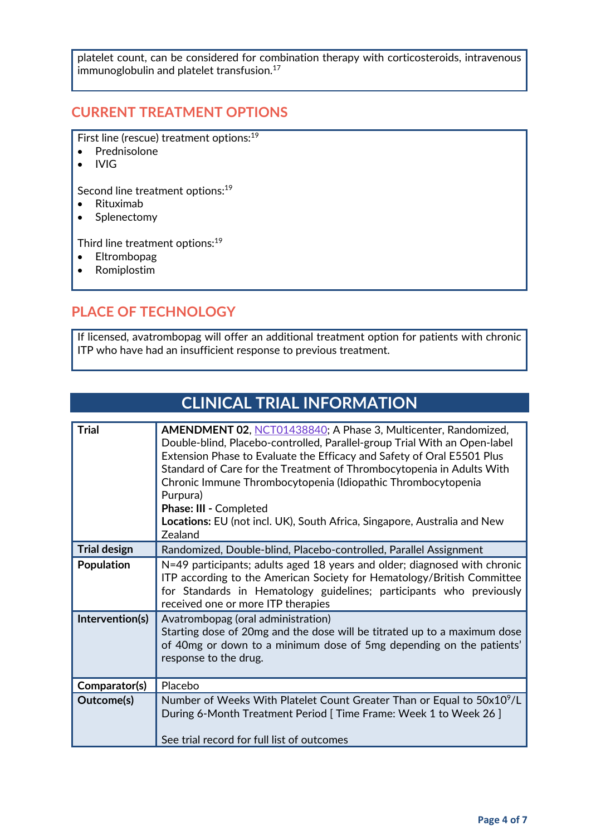platelet count, can be considered for combination therapy with corticosteroids, intravenous immunoglobulin and platelet transfusion.<sup>17</sup>

#### **CURRENT TREATMENT OPTIONS**

First line (rescue) treatment options:<sup>19</sup>

- Prednisolone
- IVIG

Second line treatment options:<sup>19</sup>

- Rituximab
- Splenectomy

Third line treatment options:<sup>19</sup>

- Eltrombopag
- Romiplostim

### **PLACE OF TECHNOLOGY**

If licensed, avatrombopag will offer an additional treatment option for patients with chronic ITP who have had an insufficient response to previous treatment.

**CLINICAL TRIAL INFORMATION**

| <b>Trial</b>        | <b>AMENDMENT 02, NCT01438840; A Phase 3, Multicenter, Randomized,</b><br>Double-blind, Placebo-controlled, Parallel-group Trial With an Open-label<br>Extension Phase to Evaluate the Efficacy and Safety of Oral E5501 Plus<br>Standard of Care for the Treatment of Thrombocytopenia in Adults With<br>Chronic Immune Thrombocytopenia (Idiopathic Thrombocytopenia<br>Purpura)<br>Phase: III - Completed<br><b>Locations:</b> EU (not incl. UK), South Africa, Singapore, Australia and New<br>Zealand |
|---------------------|-----------------------------------------------------------------------------------------------------------------------------------------------------------------------------------------------------------------------------------------------------------------------------------------------------------------------------------------------------------------------------------------------------------------------------------------------------------------------------------------------------------|
| <b>Trial design</b> | Randomized, Double-blind, Placebo-controlled, Parallel Assignment                                                                                                                                                                                                                                                                                                                                                                                                                                         |
| <b>Population</b>   | N=49 participants; adults aged 18 years and older; diagnosed with chronic<br>ITP according to the American Society for Hematology/British Committee<br>for Standards in Hematology guidelines; participants who previously<br>received one or more ITP therapies                                                                                                                                                                                                                                          |
| Intervention(s)     | Avatrombopag (oral administration)<br>Starting dose of 20mg and the dose will be titrated up to a maximum dose<br>of 40mg or down to a minimum dose of 5mg depending on the patients'<br>response to the drug.                                                                                                                                                                                                                                                                                            |
| Comparator(s)       | Placebo                                                                                                                                                                                                                                                                                                                                                                                                                                                                                                   |
| Outcome(s)          | Number of Weeks With Platelet Count Greater Than or Equal to 50x10 <sup>9</sup> /L<br>During 6-Month Treatment Period [ Time Frame: Week 1 to Week 26 ]<br>See trial record for full list of outcomes                                                                                                                                                                                                                                                                                                     |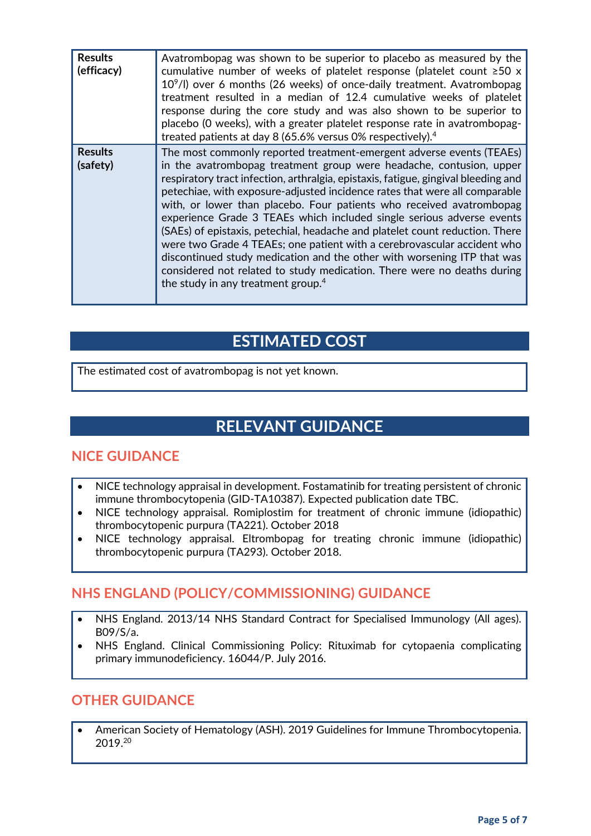| <b>Results</b><br>(efficacy) | Avatrombopag was shown to be superior to placebo as measured by the<br>cumulative number of weeks of platelet response (platelet count $\geq 50$ x<br>$10^9$ /l) over 6 months (26 weeks) of once-daily treatment. Avatrombopag<br>treatment resulted in a median of 12.4 cumulative weeks of platelet<br>response during the core study and was also shown to be superior to<br>placebo (0 weeks), with a greater platelet response rate in avatrombopag-<br>treated patients at day 8 (65.6% versus 0% respectively). <sup>4</sup>                                                                                                                                                                                                                                                                                                |
|------------------------------|-------------------------------------------------------------------------------------------------------------------------------------------------------------------------------------------------------------------------------------------------------------------------------------------------------------------------------------------------------------------------------------------------------------------------------------------------------------------------------------------------------------------------------------------------------------------------------------------------------------------------------------------------------------------------------------------------------------------------------------------------------------------------------------------------------------------------------------|
| <b>Results</b><br>(safety)   | The most commonly reported treatment-emergent adverse events (TEAEs)<br>in the avatrombopag treatment group were headache, contusion, upper<br>respiratory tract infection, arthralgia, epistaxis, fatigue, gingival bleeding and<br>petechiae, with exposure-adjusted incidence rates that were all comparable<br>with, or lower than placebo. Four patients who received avatrombopag<br>experience Grade 3 TEAEs which included single serious adverse events<br>(SAEs) of epistaxis, petechial, headache and platelet count reduction. There<br>were two Grade 4 TEAEs; one patient with a cerebrovascular accident who<br>discontinued study medication and the other with worsening ITP that was<br>considered not related to study medication. There were no deaths during<br>the study in any treatment group. <sup>4</sup> |

### **ESTIMATED COST**

The estimated cost of avatrombopag is not yet known.

### **RELEVANT GUIDANCE**

### **NICE GUIDANCE**

- NICE technology appraisal in development. Fostamatinib for treating persistent of chronic immune thrombocytopenia (GID-TA10387). Expected publication date TBC.
- NICE technology appraisal. Romiplostim for treatment of chronic immune (idiopathic) thrombocytopenic purpura (TA221). October 2018
- NICE technology appraisal. Eltrombopag for treating chronic immune (idiopathic) thrombocytopenic purpura (TA293). October 2018.

### **NHS ENGLAND (POLICY/COMMISSIONING) GUIDANCE**

- NHS England. 2013/14 NHS Standard Contract for Specialised Immunology (All ages). B09/S/a.
- NHS England. Clinical Commissioning Policy: Rituximab for cytopaenia complicating primary immunodeficiency. 16044/P. July 2016.

### **OTHER GUIDANCE**

• American Society of Hematology (ASH). 2019 Guidelines for Immune Thrombocytopenia. 2019.20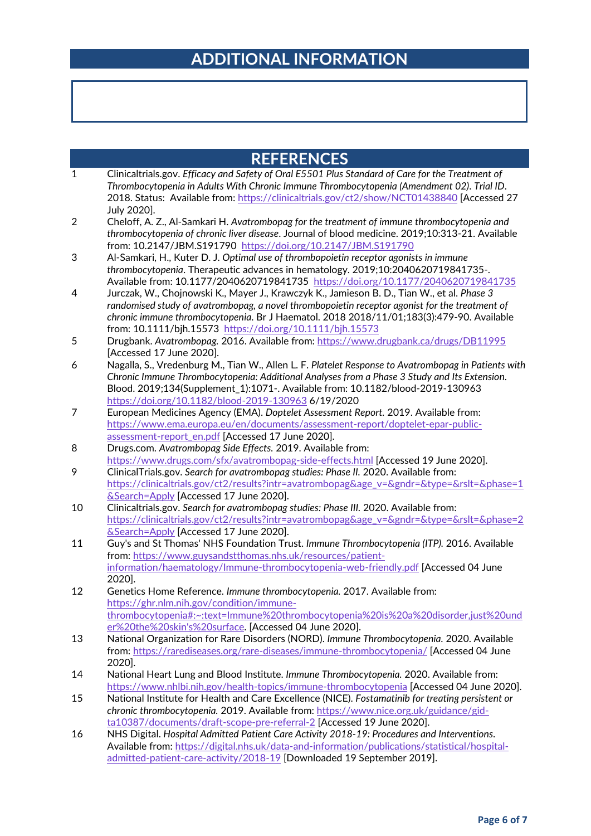### **ADDITIONAL INFORMATION**

- 1 Clinicaltrials.gov. *Efficacy and Safety of Oral E5501 Plus Standard of Care for the Treatment of Thrombocytopenia in Adults With Chronic Immune Thrombocytopenia (Amendment 02)*. *Trial ID*. 2018. Status: Available from[: https://clinicaltrials.gov/ct2/show/NCT01438840](https://clinicaltrials.gov/ct2/show/NCT01438840) [Accessed 27 July 2020].
- 2 Cheloff, A. Z., Al-Samkari H. *Avatrombopag for the treatment of immune thrombocytopenia and thrombocytopenia of chronic liver disease*. Journal of blood medicine. 2019;10:313-21. Available from: 10.2147/JBM.S191790 <https://doi.org/10.2147/JBM.S191790>
- 3 Al-Samkari, H., Kuter D. J. *Optimal use of thrombopoietin receptor agonists in immune thrombocytopenia*. Therapeutic advances in hematology. 2019;10:2040620719841735-. Available from: 10.1177/2040620719841735 <https://doi.org/10.1177/2040620719841735>
- 4 Jurczak, W., Chojnowski K., Mayer J., Krawczyk K., Jamieson B. D., Tian W., et al. *Phase 3 randomised study of avatrombopag, a novel thrombopoietin receptor agonist for the treatment of chronic immune thrombocytopenia*. Br J Haematol. 2018 2018/11/01;183(3):479-90. Available from: 10.1111/bjh.15573 <https://doi.org/10.1111/bjh.15573>
- 5 Drugbank. *Avatrombopag.* 2016. Available from[: https://www.drugbank.ca/drugs/DB11995](https://www.drugbank.ca/drugs/DB11995) [Accessed 17 June 2020].
- 6 Nagalla, S., Vredenburg M., Tian W., Allen L. F. *Platelet Response to Avatrombopag in Patients with Chronic Immune Thrombocytopenia: Additional Analyses from a Phase 3 Study and Its Extension*. Blood. 2019;134(Supplement\_1):1071-. Available from: 10.1182/blood-2019-130963 <https://doi.org/10.1182/blood-2019-130963> 6/19/2020
- 7 European Medicines Agency (EMA). *Doptelet Assessment Report.* 2019. Available from: [https://www.ema.europa.eu/en/documents/assessment-report/doptelet-epar-public](https://www.ema.europa.eu/en/documents/assessment-report/doptelet-epar-public-assessment-report_en.pdf)[assessment-report\\_en.pdf](https://www.ema.europa.eu/en/documents/assessment-report/doptelet-epar-public-assessment-report_en.pdf) [Accessed 17 June 2020].
- 8 Drugs.com. *Avatrombopag Side Effects.* 2019. Available from: <https://www.drugs.com/sfx/avatrombopag-side-effects.html> [Accessed 19 June 2020].
- 9 ClinicalTrials.gov. *Search for avatrombopag studies: Phase II.* 2020. Available from: [https://clinicaltrials.gov/ct2/results?intr=avatrombopag&age\\_v=&gndr=&type=&rslt=&phase=1](https://clinicaltrials.gov/ct2/results?intr=avatrombopag&age_v=&gndr=&type=&rslt=&phase=1&Search=Apply) [&Search=Apply](https://clinicaltrials.gov/ct2/results?intr=avatrombopag&age_v=&gndr=&type=&rslt=&phase=1&Search=Apply) [Accessed 17 June 2020].
- 10 Clinicaltrials.gov. *Search for avatrombopag studies: Phase III.* 2020. Available from: [https://clinicaltrials.gov/ct2/results?intr=avatrombopag&age\\_v=&gndr=&type=&rslt=&phase=2](https://clinicaltrials.gov/ct2/results?intr=avatrombopag&age_v=&gndr=&type=&rslt=&phase=2&Search=Apply) [&Search=Apply](https://clinicaltrials.gov/ct2/results?intr=avatrombopag&age_v=&gndr=&type=&rslt=&phase=2&Search=Apply) [Accessed 17 June 2020].
- 11 Guy's and St Thomas' NHS Foundation Trust. *Immune Thrombocytopenia (ITP).* 2016. Available from: [https://www.guysandstthomas.nhs.uk/resources/patient](https://www.guysandstthomas.nhs.uk/resources/patient-information/haematology/Immune-thrombocytopenia-web-friendly.pdf)[information/haematology/Immune-thrombocytopenia-web-friendly.pdf](https://www.guysandstthomas.nhs.uk/resources/patient-information/haematology/Immune-thrombocytopenia-web-friendly.pdf) [Accessed 04 June 2020].
- 12 Genetics Home Reference. *Immune thrombocytopenia.* 2017. Available from: [https://ghr.nlm.nih.gov/condition/immune](https://ghr.nlm.nih.gov/condition/immune-thrombocytopenia#:%7E:text=Immune%20thrombocytopenia%20is%20a%20disorder,just%20under%20the%20skin)[thrombocytopenia#:~:text=Immune%20thrombocytopenia%20is%20a%20disorder,just%20und](https://ghr.nlm.nih.gov/condition/immune-thrombocytopenia#:%7E:text=Immune%20thrombocytopenia%20is%20a%20disorder,just%20under%20the%20skin) [er%20the%20skin's%20surface](https://ghr.nlm.nih.gov/condition/immune-thrombocytopenia#:%7E:text=Immune%20thrombocytopenia%20is%20a%20disorder,just%20under%20the%20skin). [Accessed 04 June 2020].
- 13 National Organization for Rare Disorders (NORD). *Immune Thrombocytopenia.* 2020. Available from:<https://rarediseases.org/rare-diseases/immune-thrombocytopenia/> [Accessed 04 June 2020].
- 14 National Heart Lung and Blood Institute. *Immune Thrombocytopenia.* 2020. Available from: <https://www.nhlbi.nih.gov/health-topics/immune-thrombocytopenia> [Accessed 04 June 2020].
- 15 National Institute for Health and Care Excellence (NICE). *Fostamatinib for treating persistent or chronic thrombocytopenia.* 2019. Available from: [https://www.nice.org.uk/guidance/gid](https://www.nice.org.uk/guidance/gid-ta10387/documents/draft-scope-pre-referral-2)[ta10387/documents/draft-scope-pre-referral-2](https://www.nice.org.uk/guidance/gid-ta10387/documents/draft-scope-pre-referral-2) [Accessed 19 June 2020].
- 16 NHS Digital. *Hospital Admitted Patient Care Activity 2018-19: Procedures and Interventions*. Available from: [https://digital.nhs.uk/data-and-information/publications/statistical/hospital](https://digital.nhs.uk/data-and-information/publications/statistical/hospital-admitted-patient-care-activity/2018-19)[admitted-patient-care-activity/2018-19](https://digital.nhs.uk/data-and-information/publications/statistical/hospital-admitted-patient-care-activity/2018-19) [Downloaded 19 September 2019].